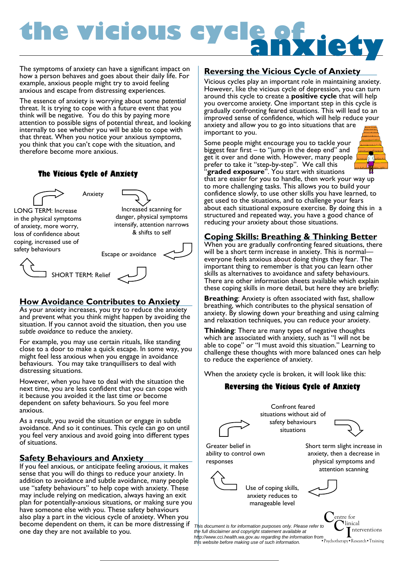# **the vicious cycle of anxiety**

The symptoms of anxiety can have a significant impact on how a person behaves and goes about their daily life. For example, anxious people might try to avoid feeling anxious and escape from distressing experiences.

The essence of anxiety is worrying about some *potential* threat. It is trying to cope with a future event that you think will be negative. You do this by paying more attention to possible signs of potential threat, and looking internally to see whether you will be able to cope with that threat. When you notice your anxious symptoms, you think that you can't cope with the situation, and therefore become more anxious.

#### **The Vicious Cycle of Anxiety**



Increased scanning for danger, physical symptoms intensify, attention narrows & shifts to self

of anxiety, more worry, loss of confidence about coping, increased use of safety behaviours



#### **How Avoidance Contributes to Anxiety**

As your anxiety increases, you try to reduce the anxiety and prevent what you think might happen by avoiding the situation. If you cannot avoid the situation, then you use *subtle avoidance* to reduce the anxiety.

For example, you may use certain rituals, like standing close to a door to make a quick escape. In some way, you might feel less anxious when you engage in avoidance behaviours. You may take tranquillisers to deal with distressing situations.

However, when you have to deal with the situation the next time, you are less confident that you can cope with it because you avoided it the last time or become dependent on safety behaviours. So you feel more anxious.

As a result, you avoid the situation or engage in subtle avoidance. And so it continues. This cycle can go on until you feel very anxious and avoid going into different types of situations.

#### **Safety Behaviours and Anxiety**

If you feel anxious, or anticipate feeling anxious, it makes sense that you will do things to reduce your anxiety. In addition to avoidance and subtle avoidance, many people use "safety behaviours" to help cope with anxiety. These may include relying on medication, always having an exit plan for potentially-anxious situations, or making sure you have someone else with you. These safety behaviours also play a part in the vicious cycle of anxiety. When you become dependent on them, it can be more distressing if one day they are not available to you.

#### **Reversing the Vicious Cycle of Anxiety**

Vicious cycles play an important role in maintaining anxiety. However, like the vicious cycle of depression, you can turn around this cycle to create a **positive cycle** that will help you overcome anxiety. One important step in this cycle is gradually confronting feared situations. This will lead to an improved sense of confidence, which will help reduce your anxiety and allow you to go into situations that are important to you.

Some people might encourage you to tackle your biggest fear first – to "jump in the deep end" and get it over and done with. However, many people  $\int$ prefer to take it "step-by-step". We call this "**graded exposure**". You start with situations



that are easier for you to handle, then work your way up to more challenging tasks. This allows you to build your confidence slowly, to use other skills you have learned, to get used to the situations, and to challenge your fears about each situational exposure exercise. By doing this in a structured and repeated way, you have a good chance of reducing your anxiety about those situations.

#### **Coping Skills: Breathing & Thinking Better**

When you are gradually confronting feared situations, there will be a short term increase in anxiety. This is normal everyone feels anxious about doing things they fear. The important thing to remember is that you can learn other skills as alternatives to avoidance and safety behaviours. There are other information sheets available which explain these coping skills in more detail, but here they are briefly:

**Breathing**: Anxiety is often associated with fast, shallow breathing, which contributes to the physical sensation of anxiety. By slowing down your breathing and using calming and relaxation techniques, you can reduce your anxiety.

**Thinking**: There are many types of negative thoughts which are associated with anxiety, such as "I will not be able to cope" or "I must avoid this situation." Learning to challenge these thoughts with more balanced ones can help to reduce the experience of anxiety.

When the anxiety cycle is broken, it will look like this:

#### **Reversing the Vicious Cycle of Anxiety**





Use of coping skills, anxiety reduces to manageable level

**C**entre for **C**linical

*This document is for information purposes only. Please refer to the full disclaimer and copyright statement available at http://www.cci.health.wa.gov.au regarding the information from this website before making use of such information.* 

**I**nterventions •Psychotherapy•Research•Training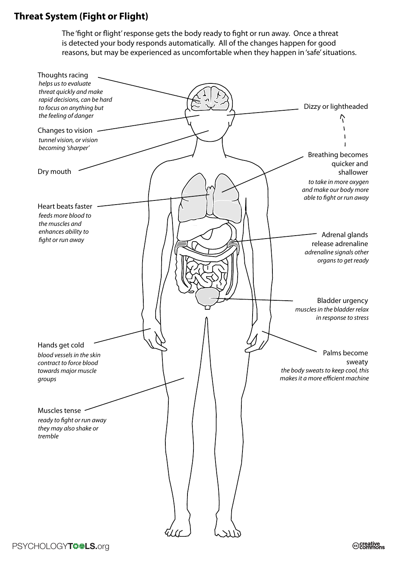## **Threat System (Fight or Flight)**

The 'fight or flight' response gets the body ready to fight or run away. Once a threat is detected your body responds automatically. All of the changes happen for good reasons, but may be experienced as uncomfortable when they happen in 'safe' situations.

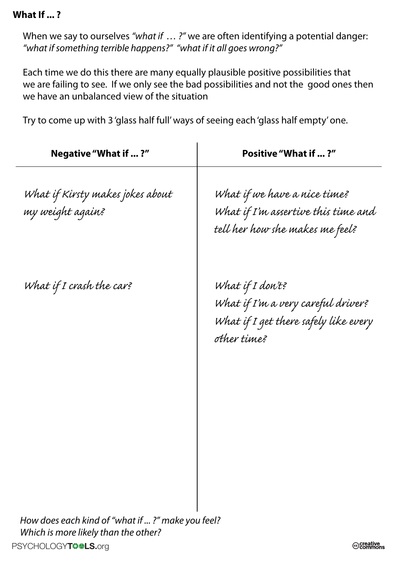### **What If ... ?**

When we say to ourselves *"what if … ?"* we are often identifying a potential danger: *"what if something terrible happens?" "what if it all goes wrong?"*

Each time we do this there are many equally plausible positive possibilities that we are failing to see. If we only see the bad possibilities and not the good ones then we have an unbalanced view of the situation

Try to come up with 3 'glass half full' ways of seeing each 'glass half empty' one.

| Negative "What if ?"                                 | <b>Positive "What if ?"</b>                                                                                    |
|------------------------------------------------------|----------------------------------------------------------------------------------------------------------------|
| What if Kirsty makes jokes about<br>my weight again? | What if we have a nice time?<br>What if I'm assertive this time and<br>tell her how she makes me feel?         |
| What if I crash the car?                             | What if I don't?<br>What if I'm a very careful driver?<br>What if I get there safely like every<br>other time? |